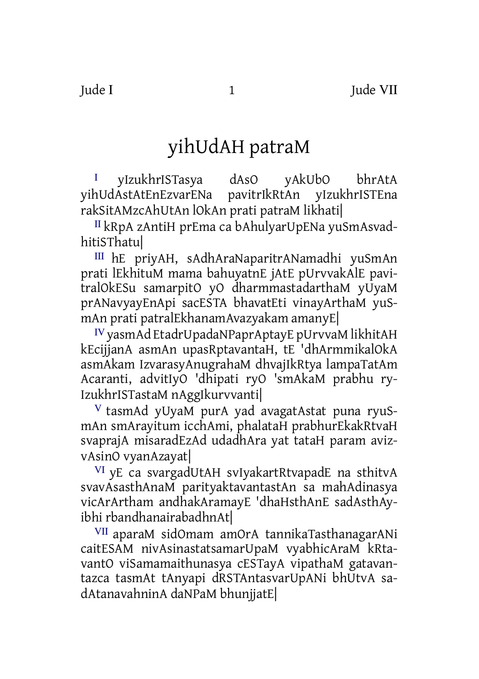## yihUdAH patraM

I yIzukhrISTasya dAsO yAkUbO bhrAtA<br>yihUdAstAtEnEzvarENa pavitrIkRtAn yIzukhrISTEna pavitrIkRtAn yIzukhrISTEna rakSitAMzcAhUtAn lOkAn prati patraM likhati|

<sup>Ⅱ</sup> kRpA zAntiH prEma ca bAhulyarUpENa yuSmAsvadhitiSThatu|

<sup>Ⅲ</sup> hE priyAH, sAdhAraNaparitrANamadhi yuSmAn prati lEkhituM mama bahuyatnE jAtE pUrvvakAlE pavitralOkESu samarpitO yO dharmmastadarthaM yUyaM prANavyayEnApi sacESTA bhavatEti vinayArthaM yuSmAn prati patralEkhanamAvazyakam amanyE|

<sup>Ⅳ</sup>yasmAd EtadrUpadaNPaprAptayE pUrvvaM likhitAH kEcijjanA asmAn upasRptavantaH, tE 'dhArmmikalOkA asmAkam IzvarasyAnugrahaM dhvajIkRtya lampaTatAm Acaranti, advitIyO 'dhipati ryO 'smAkaM prabhu ry-IzukhrISTastaM nAggIkurvvanti|

V tasmAd yUyaM purA yad avagatAstat puna ryuSmAn smArayitum icchAmi, phalataH prabhurEkakRtvaH svaprajA misaradEzAd udadhAra yat tataH param avizvAsinO vyanAzayat|

<sup>Ⅵ</sup> yE ca svargadUtAH svIyakartRtvapadE na sthitvA svavAsasthAnaM parityaktavantastAn sa mahAdinasya vicArArtham andhakAramayE 'dhaHsthAnE sadAsthAyibhi rbandhanairabadhnAt|

<sup>Ⅶ</sup> aparaM sidOmam amOrA tannikaTasthanagarANi caitESAM nivAsinastatsamarUpaM vyabhicAraM kRtavantO viSamamaithunasya cESTayA vipathaM gatavantazca tasmAt tAnyapi dRSTAntasvarUpANi bhUtvA sadAtanavahninA daNPaM bhunjjatE|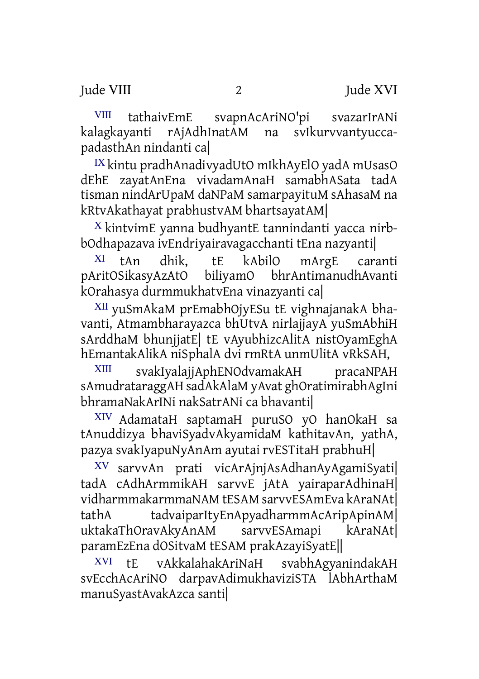Iude VIII 2 Jude XVI

<sup>VIII</sup> tathaivEmE svapnAcAriNO'pi svazarIrANi<br>lagkayanti rAjAdhInatAM na svIkurvvantyuccakalagkayanti rAjAdhInatAM na padasthAn nindanti ca|

<sup>Ⅸ</sup> kintu pradhAnadivyadUtO mIkhAyElO yadA mUsasO dEhE zayatAnEna vivadamAnaH samabhASata tadA tisman nindArUpaM daNPaM samarpayituM sAhasaM na kRtvAkathayat prabhustvAM bhartsayatAM|

<sup>Ⅹ</sup> kintvimE yanna budhyantE tannindanti yacca nirbbOdhapazava ivEndriyairavagacchanti tEna nazyanti|

<sup>Ⅺ</sup> tAn dhik, tE kAbilO mArgE caranti pAritOSikasyAzAtO biliyamO bhrAntimanudhAvanti kOrahasya durmmukhatvEna vinazyanti ca|

<sup>Ⅻ</sup> yuSmAkaM prEmabhOjyESu tE vighnajanakA bhavanti, Atmambharayazca bhUtvA nirlajjayA yuSmAbhiH sArddhaM bhunjjatE| tE vAyubhizcAlitA nistOyamEghA hEmantakAlikA niSphalA dvi rmRtA unmUlitA vRkSAH,

ⅩⅢ svakIyalajjAphENOdvamakAH pracaNPAH sAmudrataraggAH sadAkAlaM yAvat ghOratimirabhAgIni bhramaNakArINi nakSatrANi ca bhavanti|

ⅩⅣ AdamataH saptamaH puruSO yO hanOkaH sa tAnuddizya bhaviSyadvAkyamidaM kathitavAn, yathA, pazya svakIyapuNyAnAm ayutai rvESTitaH prabhuH|

ⅩⅤ sarvvAn prati vicArAjnjAsAdhanAyAgamiSyati| tadA cAdhArmmikAH sarvvE jAtA yairaparAdhinaH| vidharmmakarmmaNAM tESAM sarvvESAmEva kAraNAt| tathA tadvaiparItyEnApyadharmmAcAripApinAM| uktakaThOravAkyAnAM sarvvESAmapi kAraNAt| paramEzEna dOSitvaM tESAM prakAzayiSyatE||

ⅩⅥ tE vAkkalahakAriNaH svabhAgyanindakAH svEcchAcAriNO darpavAdimukhaviziSTA lAbhArthaM manuSyastAvakAzca santi|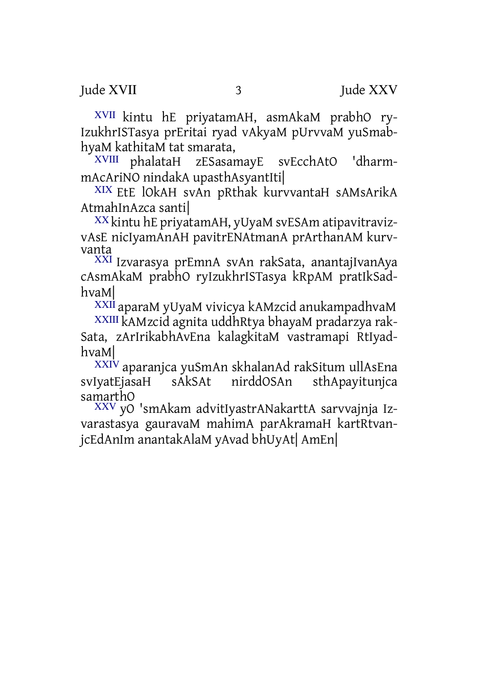ⅩⅦ kintu hE priyatamAH, asmAkaM prabhO ry-IzukhrISTasya prEritai ryad vAkyaM pUrvvaM yuSmabhyaM kathitaM tat smarata,

ⅩⅧ phalataH zESasamayE svEcchAtO 'dharmmAcAriNO nindakA upasthAsyantIti|

ⅩⅨ EtE lOkAH svAn pRthak kurvvantaH sAMsArikA AtmahInAzca santi|

ⅩⅩ kintu hE priyatamAH, yUyaM svESAm atipavitravizvAsE nicIyamAnAH pavitrENAtmanA prArthanAM kurvvanta

ⅩⅪ Izvarasya prEmnA svAn rakSata, anantajIvanAya cAsmAkaM prabhO ryIzukhrISTasya kRpAM pratIkSadhvaM|

ⅩⅫaparaM yUyaM vivicya kAMzcid anukampadhvaM

ⅩⅩⅢ kAMzcid agnita uddhRtya bhayaM pradarzya rak-Sata, zArIrikabhAvEna kalagkitaM vastramapi RtIyadhvaM|

XXIV aparanjca yuSmAn skhalanAd rakSitum ullAsEna<br>IvatEiasaH sAkSAt nirddOSAn sthAnavitunica svIyatEjasaH sAkSAt nirddOSAn sthApayitunjca samarthO

ⅩⅩⅤ yO 'smAkam advitIyastrANakarttA sarvvajnja Izvarastasya gauravaM mahimA parAkramaH kartRtvanjcEdAnIm anantakAlaM yAvad bhUyAt| AmEn|